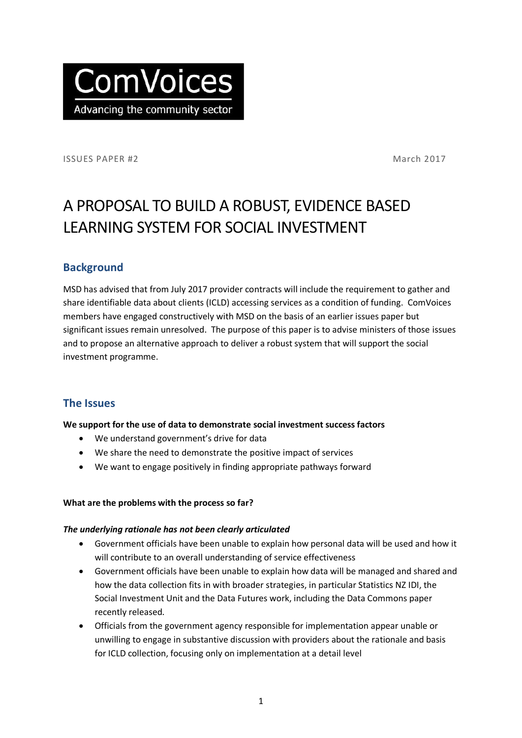

ISSUES PAPER #2 March 2017

# A PROPOSAL TO BUILD A ROBUST, EVIDENCE BASED LEARNING SYSTEM FOR SOCIAL INVESTMENT

## **Background**

MSD has advised that from July 2017 provider contracts will include the requirement to gather and share identifiable data about clients (ICLD) accessing services as a condition of funding. ComVoices members have engaged constructively with MSD on the basis of an earlier issues paper but significant issues remain unresolved. The purpose of this paper is to advise ministers of those issues and to propose an alternative approach to deliver a robust system that will support the social investment programme.

## **The Issues**

#### **We support for the use of data to demonstrate social investment success factors**

- We understand government's drive for data
- We share the need to demonstrate the positive impact of services
- We want to engage positively in finding appropriate pathways forward

#### **What are the problems with the process so far?**

#### *The underlying rationale has not been clearly articulated*

- Government officials have been unable to explain how personal data will be used and how it will contribute to an overall understanding of service effectiveness
- Government officials have been unable to explain how data will be managed and shared and how the data collection fits in with broader strategies, in particular Statistics NZ IDI, the Social Investment Unit and the Data Futures work, including the Data Commons paper recently released.
- Officials from the government agency responsible for implementation appear unable or unwilling to engage in substantive discussion with providers about the rationale and basis for ICLD collection, focusing only on implementation at a detail level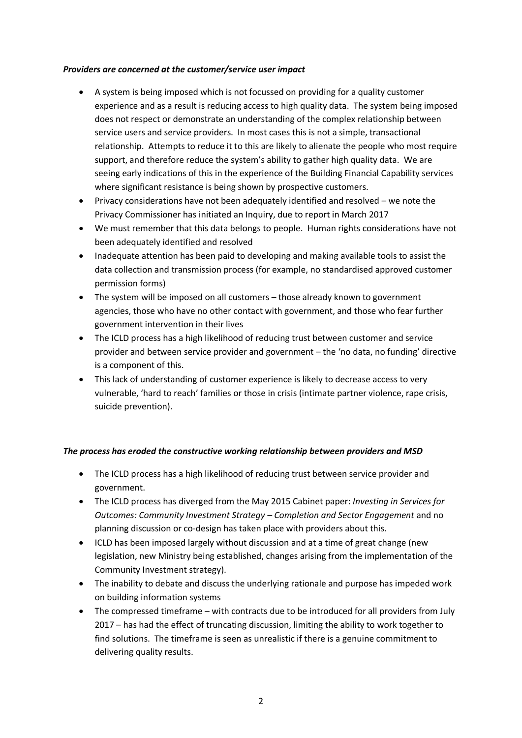#### *Providers are concerned at the customer/service user impact*

- A system is being imposed which is not focussed on providing for a quality customer experience and as a result is reducing access to high quality data. The system being imposed does not respect or demonstrate an understanding of the complex relationship between service users and service providers. In most cases this is not a simple, transactional relationship. Attempts to reduce it to this are likely to alienate the people who most require support, and therefore reduce the system's ability to gather high quality data. We are seeing early indications of this in the experience of the Building Financial Capability services where significant resistance is being shown by prospective customers.
- Privacy considerations have not been adequately identified and resolved we note the Privacy Commissioner has initiated an Inquiry, due to report in March 2017
- We must remember that this data belongs to people. Human rights considerations have not been adequately identified and resolved
- Inadequate attention has been paid to developing and making available tools to assist the data collection and transmission process (for example, no standardised approved customer permission forms)
- The system will be imposed on all customers those already known to government agencies, those who have no other contact with government, and those who fear further government intervention in their lives
- The ICLD process has a high likelihood of reducing trust between customer and service provider and between service provider and government – the 'no data, no funding' directive is a component of this.
- This lack of understanding of customer experience is likely to decrease access to very vulnerable, 'hard to reach' families or those in crisis (intimate partner violence, rape crisis, suicide prevention).

#### *The process has eroded the constructive working relationship between providers and MSD*

- The ICLD process has a high likelihood of reducing trust between service provider and government.
- The ICLD process has diverged from the May 2015 Cabinet paper: *Investing in Services for Outcomes: Community Investment Strategy – Completion and Sector Engagement* and no planning discussion or co-design has taken place with providers about this.
- ICLD has been imposed largely without discussion and at a time of great change (new legislation, new Ministry being established, changes arising from the implementation of the Community Investment strategy).
- The inability to debate and discuss the underlying rationale and purpose has impeded work on building information systems
- The compressed timeframe with contracts due to be introduced for all providers from July 2017 – has had the effect of truncating discussion, limiting the ability to work together to find solutions. The timeframe is seen as unrealistic if there is a genuine commitment to delivering quality results.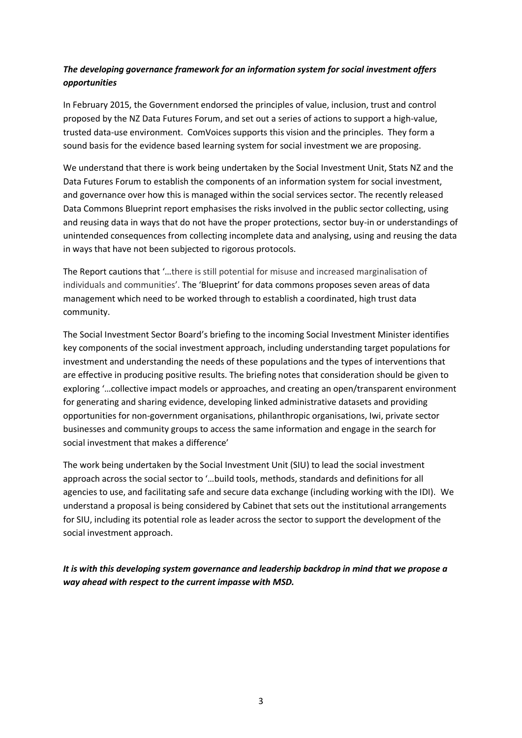### *The developing governance framework for an information system for social investment offers opportunities*

In February 2015, the Government endorsed the principles of value, inclusion, trust and control proposed by the NZ Data Futures Forum, and set out a series of actions to support a high-value, trusted data-use environment. ComVoices supports this vision and the principles. They form a sound basis for the evidence based learning system for social investment we are proposing.

We understand that there is work being undertaken by the Social Investment Unit, Stats NZ and the Data Futures Forum to establish the components of an information system for social investment, and governance over how this is managed within the social services sector. The recently released Data Commons Blueprint report emphasises the risks involved in the public sector collecting, using and reusing data in ways that do not have the proper protections, sector buy-in or understandings of unintended consequences from collecting incomplete data and analysing, using and reusing the data in ways that have not been subjected to rigorous protocols.

The Report cautions that '…there is still potential for misuse and increased marginalisation of individuals and communities'. The 'Blueprint' for data commons proposes seven areas of data management which need to be worked through to establish a coordinated, high trust data community.

The Social Investment Sector Board's briefing to the incoming Social Investment Minister identifies key components of the social investment approach, including understanding target populations for investment and understanding the needs of these populations and the types of interventions that are effective in producing positive results. The briefing notes that consideration should be given to exploring '…collective impact models or approaches, and creating an open/transparent environment for generating and sharing evidence, developing linked administrative datasets and providing opportunities for non-government organisations, philanthropic organisations, Iwi, private sector businesses and community groups to access the same information and engage in the search for social investment that makes a difference'

The work being undertaken by the Social Investment Unit (SIU) to lead the social investment approach across the social sector to '…build tools, methods, standards and definitions for all agencies to use, and facilitating safe and secure data exchange (including working with the IDI). We understand a proposal is being considered by Cabinet that sets out the institutional arrangements for SIU, including its potential role as leader across the sector to support the development of the social investment approach.

*It is with this developing system governance and leadership backdrop in mind that we propose a way ahead with respect to the current impasse with MSD.*